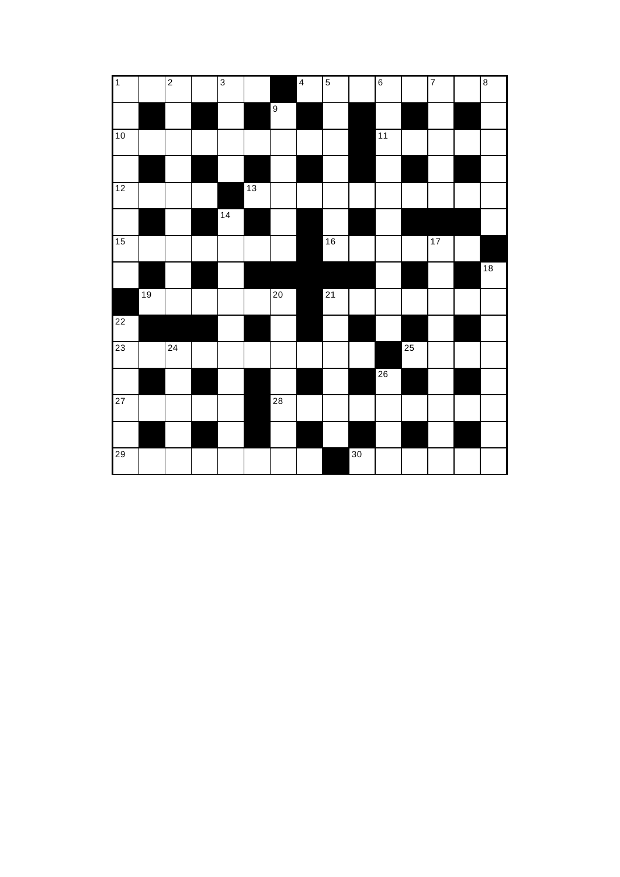| $\overline{1}$ |    | $\overline{2}$ | $\overline{3}$ |    |                | $\overline{4}$ | $\overline{5}$ |    | $\overline{6}$ |    | $\overline{7}$ | $\bf 8$ |
|----------------|----|----------------|----------------|----|----------------|----------------|----------------|----|----------------|----|----------------|---------|
|                |    |                |                |    | $\overline{9}$ |                |                |    |                |    |                |         |
| 10             |    |                |                |    |                |                |                |    | $11$           |    |                |         |
|                |    |                |                |    |                |                |                |    |                |    |                |         |
| 12             |    |                |                | 13 |                |                |                |    |                |    |                |         |
|                |    |                | 14             |    |                |                |                |    |                |    |                |         |
| 15             |    |                |                |    |                |                | 16             |    |                |    | 17             |         |
|                |    |                |                |    |                |                |                |    |                |    |                | $18$    |
|                | 19 |                |                |    | $20\,$         |                | 21             |    |                |    |                |         |
| 22             |    |                |                |    |                |                |                |    |                |    |                |         |
| 23             |    | 24             |                |    |                |                |                |    |                | 25 |                |         |
|                |    |                |                |    |                |                |                |    | $26\,$         |    |                |         |
| 27             |    |                |                |    | $28$           |                |                |    |                |    |                |         |
|                |    |                |                |    |                |                |                |    |                |    |                |         |
| 29             |    |                |                |    |                |                |                | 30 |                |    |                |         |